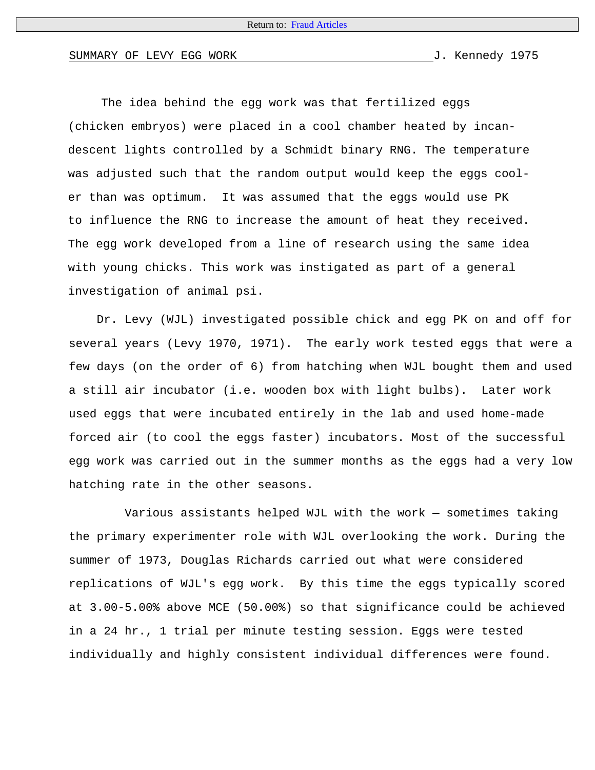## SUMMARY OF LEVY EGG WORK SUMMARY OF 1975

The idea behind the egg work was that fertilized eggs (chicken embryos) were placed in a cool chamber heated by incandescent lights controlled by a Schmidt binary RNG. The temperature was adjusted such that the random output would keep the eggs cooler than was optimum. It was assumed that the eggs would use PK to influence the RNG to increase the amount of heat they received. The egg work developed from a line of research using the same idea with young chicks. This work was instigated as part of a general investigation of animal psi.

Dr. Levy (WJL) investigated possible chick and egg PK on and off for several years (Levy 1970, 1971). The early work tested eggs that were a few days (on the order of 6) from hatching when WJL bought them and used a still air incubator (i.e. wooden box with light bulbs). Later work used eggs that were incubated entirely in the lab and used home-made forced air (to cool the eggs faster) incubators. Most of the successful egg work was carried out in the summer months as the eggs had a very low hatching rate in the other seasons.

 Various assistants helped WJL with the work — sometimes taking the primary experimenter role with WJL overlooking the work. During the summer of 1973, Douglas Richards carried out what were considered replications of WJL's egg work. By this time the eggs typically scored at 3.00-5.00% above MCE (50.00%) so that significance could be achieved in a 24 hr., 1 trial per minute testing session. Eggs were tested individually and highly consistent individual differences were found.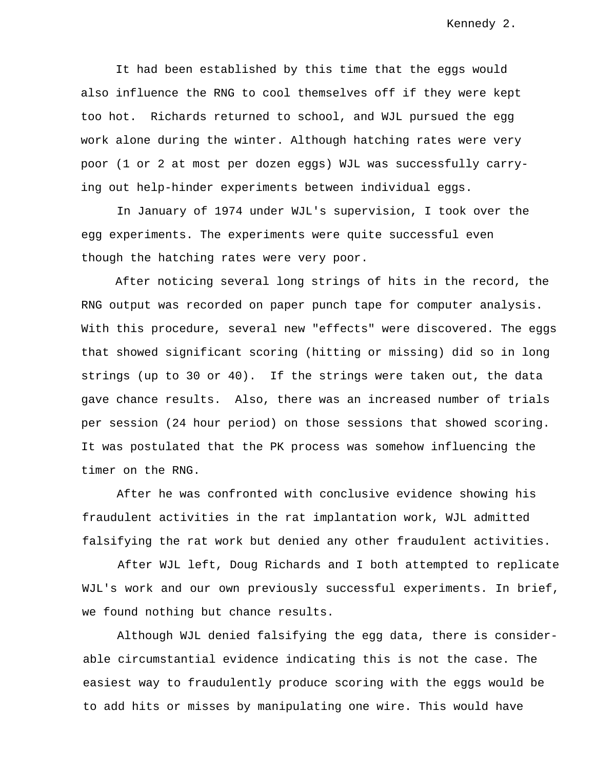It had been established by this time that the eggs would also influence the RNG to cool themselves off if they were kept too hot. Richards returned to school, and WJL pursued the egg work alone during the winter. Although hatching rates were very poor (1 or 2 at most per dozen eggs) WJL was successfully carrying out help-hinder experiments between individual eggs.

In January of 1974 under WJL's supervision, I took over the egg experiments. The experiments were quite successful even though the hatching rates were very poor.

After noticing several long strings of hits in the record, the RNG output was recorded on paper punch tape for computer analysis. With this procedure, several new "effects" were discovered. The eggs that showed significant scoring (hitting or missing) did so in long strings (up to 30 or 40). If the strings were taken out, the data gave chance results. Also, there was an increased number of trials per session (24 hour period) on those sessions that showed scoring. It was postulated that the PK process was somehow influencing the timer on the RNG.

After he was confronted with conclusive evidence showing his fraudulent activities in the rat implantation work, WJL admitted falsifying the rat work but denied any other fraudulent activities.

After WJL left, Doug Richards and I both attempted to replicate WJL's work and our own previously successful experiments. In brief, we found nothing but chance results.

Although WJL denied falsifying the egg data, there is considerable circumstantial evidence indicating this is not the case. The easiest way to fraudulently produce scoring with the eggs would be to add hits or misses by manipulating one wire. This would have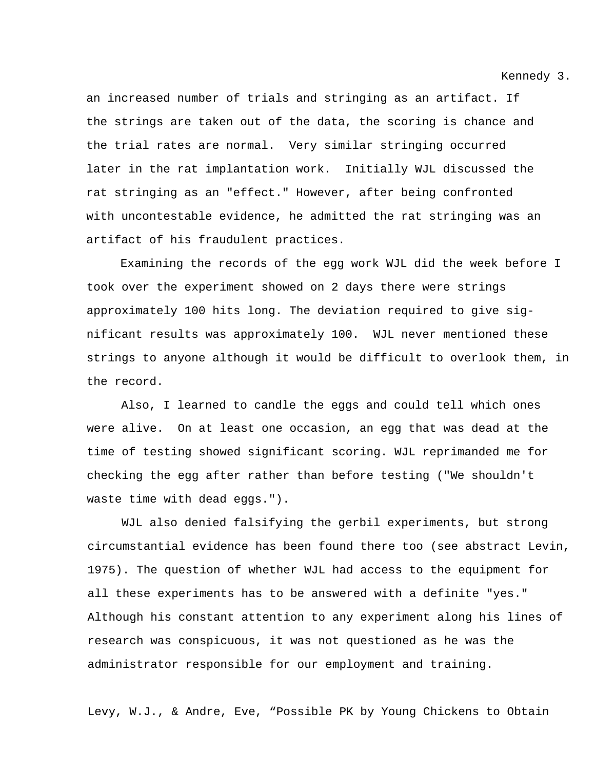Kennedy 3.

an increased number of trials and stringing as an artifact. If the strings are taken out of the data, the scoring is chance and the trial rates are normal. Very similar stringing occurred later in the rat implantation work. Initially WJL discussed the rat stringing as an "effect." However, after being confronted with uncontestable evidence, he admitted the rat stringing was an artifact of his fraudulent practices.

Examining the records of the egg work WJL did the week before I took over the experiment showed on 2 days there were strings approximately 100 hits long. The deviation required to give significant results was approximately 100. WJL never mentioned these strings to anyone although it would be difficult to overlook them, in the record.

Also, I learned to candle the eggs and could tell which ones were alive. On at least one occasion, an egg that was dead at the time of testing showed significant scoring. WJL reprimanded me for checking the egg after rather than before testing ("We shouldn't waste time with dead eggs.").

WJL also denied falsifying the gerbil experiments, but strong circumstantial evidence has been found there too (see abstract Levin, 1975). The question of whether WJL had access to the equipment for all these experiments has to be answered with a definite "yes." Although his constant attention to any experiment along his lines of research was conspicuous, it was not questioned as he was the administrator responsible for our employment and training.

Levy, W.J., & Andre, Eve, "Possible PK by Young Chickens to Obtain